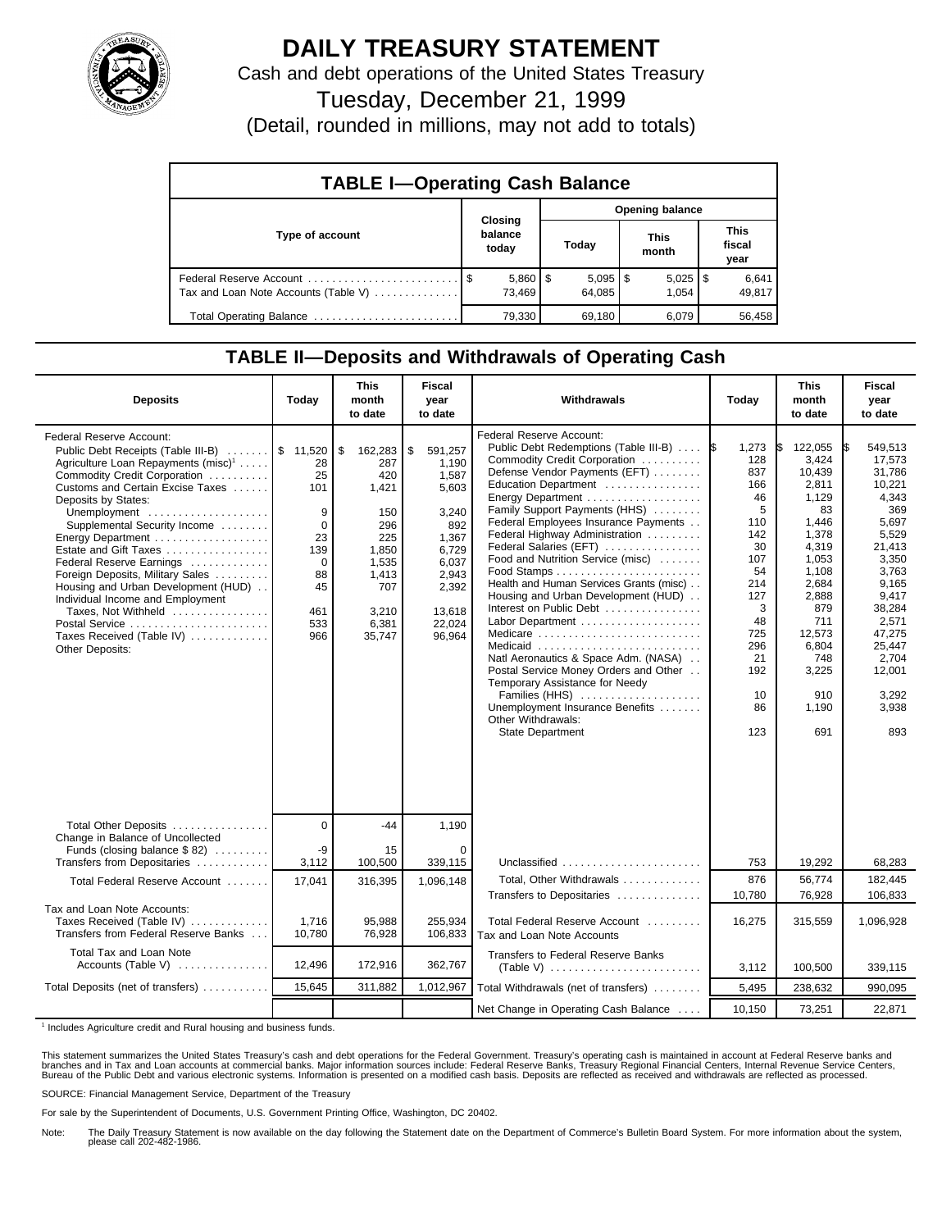

## **DAILY TREASURY STATEMENT**

Cash and debt operations of the United States Treasury

Tuesday, December 21, 1999

(Detail, rounded in millions, may not add to totals)

| <b>TABLE I-Operating Cash Balance</b> |                             |  |                        |  |                       |  |                        |  |
|---------------------------------------|-----------------------------|--|------------------------|--|-----------------------|--|------------------------|--|
|                                       | Closing<br>balance<br>today |  | Opening balance        |  |                       |  |                        |  |
| Type of account                       |                             |  | Today                  |  | <b>This</b><br>month  |  | This<br>fiscal<br>year |  |
| Tax and Loan Note Accounts (Table V)  | $5,860$   \$<br>73.469      |  | $5,095$   \$<br>64.085 |  | $5,025$   \$<br>1.054 |  | 6,641<br>49,817        |  |
| Total Operating Balance               | 79,330                      |  | 69,180                 |  | 6,079                 |  | 56,458                 |  |

## **TABLE II—Deposits and Withdrawals of Operating Cash**

| <b>Deposits</b>                                                                                                                                                                                                                                                                                                                                                                                                                                                                                                                                           | Today                                                                                         | <b>This</b><br>month<br>to date                                                                                         | Fiscal<br>year<br>to date                                                                                                           | Withdrawals                                                                                                                                                                                                                                                                                                                                                                                                                                                                                                                                                                                                                                                                                                                                 | Today                                                                                                                                                | <b>This</b><br>month<br>to date                                                                                                                                                           | <b>Fiscal</b><br>year<br>to date                                                                                                                                                                                |
|-----------------------------------------------------------------------------------------------------------------------------------------------------------------------------------------------------------------------------------------------------------------------------------------------------------------------------------------------------------------------------------------------------------------------------------------------------------------------------------------------------------------------------------------------------------|-----------------------------------------------------------------------------------------------|-------------------------------------------------------------------------------------------------------------------------|-------------------------------------------------------------------------------------------------------------------------------------|---------------------------------------------------------------------------------------------------------------------------------------------------------------------------------------------------------------------------------------------------------------------------------------------------------------------------------------------------------------------------------------------------------------------------------------------------------------------------------------------------------------------------------------------------------------------------------------------------------------------------------------------------------------------------------------------------------------------------------------------|------------------------------------------------------------------------------------------------------------------------------------------------------|-------------------------------------------------------------------------------------------------------------------------------------------------------------------------------------------|-----------------------------------------------------------------------------------------------------------------------------------------------------------------------------------------------------------------|
| Federal Reserve Account:<br>Public Debt Receipts (Table III-B)  \$ 11,520<br>Agriculture Loan Repayments (misc) <sup>1</sup><br>Commodity Credit Corporation<br>Customs and Certain Excise Taxes<br>Deposits by States:<br>Unemployment<br>Supplemental Security Income<br>Energy Department<br>Estate and Gift Taxes<br>Federal Reserve Earnings<br>Foreign Deposits, Military Sales<br>Housing and Urban Development (HUD)<br>Individual Income and Employment<br>Taxes, Not Withheld<br>Postal Service<br>Taxes Received (Table IV)<br>Other Deposits: | 28<br>25<br>101<br>9<br>$\mathbf 0$<br>23<br>139<br>$\Omega$<br>88<br>45<br>461<br>533<br>966 | \$<br>162,283<br>287<br>420<br>1,421<br>150<br>296<br>225<br>1,850<br>1,535<br>1,413<br>707<br>3,210<br>6,381<br>35,747 | \$<br>591,257<br>1,190<br>1,587<br>5,603<br>3,240<br>892<br>1,367<br>6,729<br>6,037<br>2,943<br>2,392<br>13,618<br>22.024<br>96,964 | <b>Federal Reserve Account:</b><br>Public Debt Redemptions (Table III-B)<br>Commodity Credit Corporation<br>Defense Vendor Payments (EFT)<br>Education Department<br>Energy Department<br>Family Support Payments (HHS)<br>Federal Employees Insurance Payments<br>Federal Highway Administration<br>Federal Salaries (EFT)<br>Food and Nutrition Service (misc)<br>Health and Human Services Grants (misc)<br>Housing and Urban Development (HUD)<br>Interest on Public Debt<br>Labor Department<br>Medicare<br>Medicaid<br>Natl Aeronautics & Space Adm. (NASA)<br>Postal Service Money Orders and Other<br>Temporary Assistance for Needy<br>Families (HHS)<br>Unemployment Insurance Benefits<br>Other Withdrawals:<br>State Department | 1,273<br>1\$<br>128<br>837<br>166<br>46<br>5<br>110<br>142<br>30<br>107<br>54<br>214<br>127<br>3<br>48<br>725<br>296<br>21<br>192<br>10<br>86<br>123 | 122,055<br>3,424<br>10,439<br>2,811<br>1.129<br>83<br>1,446<br>1,378<br>4,319<br>1,053<br>1,108<br>2,684<br>2,888<br>879<br>711<br>12,573<br>6,804<br>748<br>3,225<br>910<br>1,190<br>691 | 549,513<br>I\$<br>17.573<br>31,786<br>10,221<br>4,343<br>369<br>5,697<br>5,529<br>21,413<br>3,350<br>3,763<br>9,165<br>9,417<br>38,284<br>2,571<br>47,275<br>25,447<br>2,704<br>12,001<br>3,292<br>3,938<br>893 |
| Total Other Deposits<br>Change in Balance of Uncollected                                                                                                                                                                                                                                                                                                                                                                                                                                                                                                  | $\overline{0}$                                                                                | $-44$                                                                                                                   | 1,190                                                                                                                               |                                                                                                                                                                                                                                                                                                                                                                                                                                                                                                                                                                                                                                                                                                                                             |                                                                                                                                                      |                                                                                                                                                                                           |                                                                                                                                                                                                                 |
| Funds (closing balance \$82)<br>Transfers from Depositaries                                                                                                                                                                                                                                                                                                                                                                                                                                                                                               | -9<br>3,112                                                                                   | 15<br>100,500                                                                                                           | $\Omega$<br>339,115                                                                                                                 | Unclassified                                                                                                                                                                                                                                                                                                                                                                                                                                                                                                                                                                                                                                                                                                                                | 753                                                                                                                                                  | 19,292                                                                                                                                                                                    | 68,283                                                                                                                                                                                                          |
| Total Federal Reserve Account                                                                                                                                                                                                                                                                                                                                                                                                                                                                                                                             | 17,041                                                                                        | 316,395                                                                                                                 | 1,096,148                                                                                                                           | Total. Other Withdrawals<br>Transfers to Depositaries                                                                                                                                                                                                                                                                                                                                                                                                                                                                                                                                                                                                                                                                                       | 876<br>10,780                                                                                                                                        | 56.774<br>76,928                                                                                                                                                                          | 182.445<br>106,833                                                                                                                                                                                              |
| Tax and Loan Note Accounts:<br>Taxes Received (Table IV)<br>Transfers from Federal Reserve Banks                                                                                                                                                                                                                                                                                                                                                                                                                                                          | 1,716<br>10,780                                                                               | 95,988<br>76,928                                                                                                        | 255,934<br>106,833                                                                                                                  | Total Federal Reserve Account<br>Tax and Loan Note Accounts                                                                                                                                                                                                                                                                                                                                                                                                                                                                                                                                                                                                                                                                                 | 16,275                                                                                                                                               | 315,559                                                                                                                                                                                   | 1,096,928                                                                                                                                                                                                       |
| Total Tax and Loan Note<br>Accounts (Table V)                                                                                                                                                                                                                                                                                                                                                                                                                                                                                                             | 12,496                                                                                        | 172,916                                                                                                                 | 362,767                                                                                                                             | Transfers to Federal Reserve Banks                                                                                                                                                                                                                                                                                                                                                                                                                                                                                                                                                                                                                                                                                                          | 3,112                                                                                                                                                | 100,500                                                                                                                                                                                   | 339,115                                                                                                                                                                                                         |
| Total Deposits (net of transfers)                                                                                                                                                                                                                                                                                                                                                                                                                                                                                                                         | 15,645                                                                                        | 311,882                                                                                                                 | 1,012,967                                                                                                                           | Total Withdrawals (net of transfers)                                                                                                                                                                                                                                                                                                                                                                                                                                                                                                                                                                                                                                                                                                        | 5,495                                                                                                                                                | 238,632                                                                                                                                                                                   | 990,095                                                                                                                                                                                                         |
|                                                                                                                                                                                                                                                                                                                                                                                                                                                                                                                                                           |                                                                                               |                                                                                                                         |                                                                                                                                     | Net Change in Operating Cash Balance                                                                                                                                                                                                                                                                                                                                                                                                                                                                                                                                                                                                                                                                                                        | 10.150                                                                                                                                               | 73,251                                                                                                                                                                                    | 22,871                                                                                                                                                                                                          |

<sup>1</sup> Includes Agriculture credit and Rural housing and business funds.

This statement summarizes the United States Treasury's cash and debt operations for the Federal Government. Treasury's operating cash is maintained in account at Federal Reserve banks and<br>branches and in Tax and Loan accou

SOURCE: Financial Management Service, Department of the Treasury

For sale by the Superintendent of Documents, U.S. Government Printing Office, Washington, DC 20402.

Note: The Daily Treasury Statement is now available on the day following the Statement date on the Department of Commerce's Bulletin Board System. For more information about the system, please call 202-482-1986.